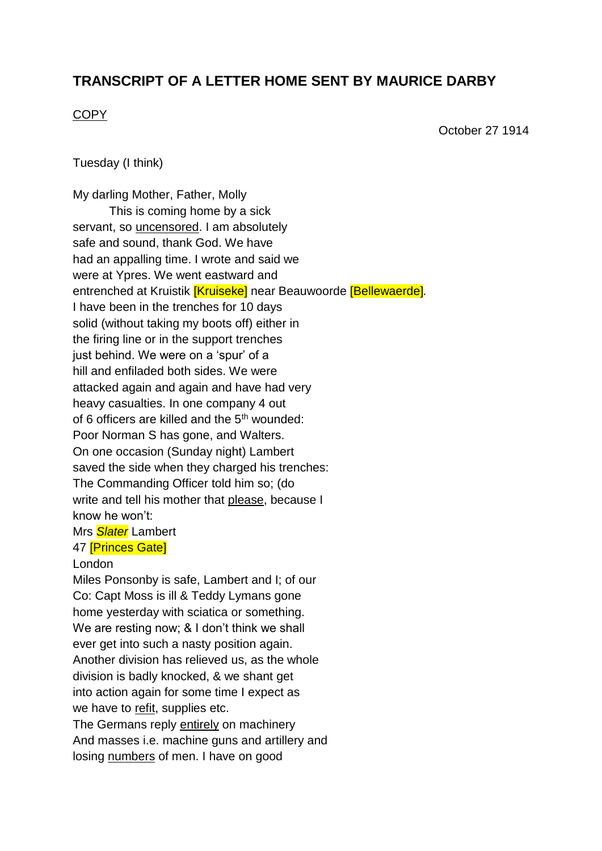## **TRANSCRIPT OF A LETTER HOME SENT BY MAURICE DARBY**

## **COPY**

October 27 1914

Tuesday (I think)

My darling Mother, Father, Molly This is coming home by a sick servant, so uncensored. I am absolutely safe and sound, thank God. We have had an appalling time. I wrote and said we were at Ypres. We went eastward and entrenched at Kruistik [Kruiseke] near Beauwoorde [Bellewaerde]*.* I have been in the trenches for 10 days solid (without taking my boots off) either in the firing line or in the support trenches just behind. We were on a 'spur' of a hill and enfiladed both sides. We were attacked again and again and have had very heavy casualties. In one company 4 out of 6 officers are killed and the 5<sup>th</sup> wounded: Poor Norman S has gone, and Walters. On one occasion (Sunday night) Lambert saved the side when they charged his trenches: The Commanding Officer told him so; (do write and tell his mother that please, because I know he won't: Mrs *Slater* Lambert

## 47 [Princes Gate]

## London

Miles Ponsonby is safe, Lambert and I; of our Co: Capt Moss is ill & Teddy Lymans gone home yesterday with sciatica or something. We are resting now; & I don't think we shall ever get into such a nasty position again. Another division has relieved us, as the whole division is badly knocked, & we shant get into action again for some time I expect as we have to refit, supplies etc. The Germans reply entirely on machinery And masses i.e. machine guns and artillery and losing numbers of men. I have on good